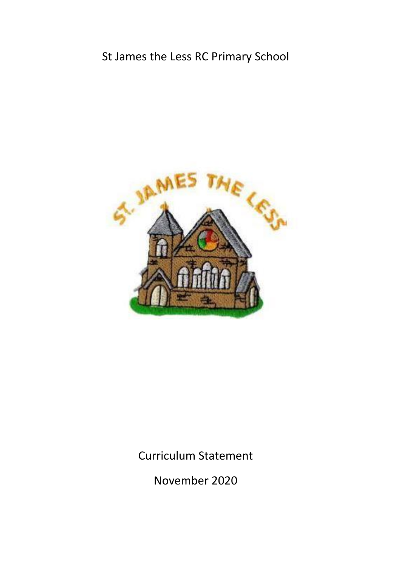## St James the Less RC Primary School



Curriculum Statement

November 2020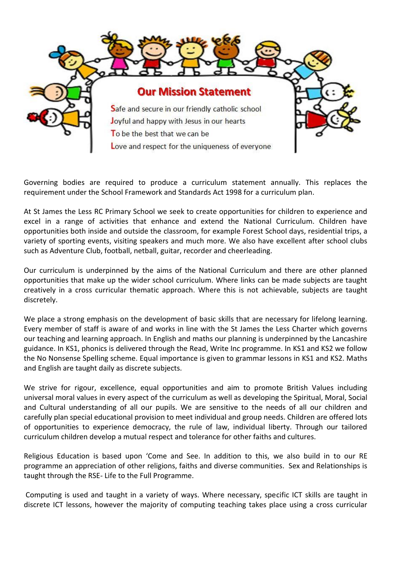

Governing bodies are required to produce a curriculum statement annually. This replaces the requirement under the School Framework and Standards Act 1998 for a curriculum plan.

At St James the Less RC Primary School we seek to create opportunities for children to experience and excel in a range of activities that enhance and extend the National Curriculum. Children have opportunities both inside and outside the classroom, for example Forest School days, residential trips, a variety of sporting events, visiting speakers and much more. We also have excellent after school clubs such as Adventure Club, football, netball, guitar, recorder and cheerleading.

Our curriculum is underpinned by the aims of the National Curriculum and there are other planned opportunities that make up the wider school curriculum. Where links can be made subjects are taught creatively in a cross curricular thematic approach. Where this is not achievable, subjects are taught discretely.

We place a strong emphasis on the development of basic skills that are necessary for lifelong learning. Every member of staff is aware of and works in line with the St James the Less Charter which governs our teaching and learning approach. In English and maths our planning is underpinned by the Lancashire guidance. In KS1, phonics is delivered through the Read, Write Inc programme. In KS1 and KS2 we follow the No Nonsense Spelling scheme. Equal importance is given to grammar lessons in KS1 and KS2. Maths and English are taught daily as discrete subjects.

We strive for rigour, excellence, equal opportunities and aim to promote British Values including universal moral values in every aspect of the curriculum as well as developing the Spiritual, Moral, Social and Cultural understanding of all our pupils. We are sensitive to the needs of all our children and carefully plan special educational provision to meet individual and group needs. Children are offered lots of opportunities to experience democracy, the rule of law, individual liberty. Through our tailored curriculum children develop a mutual respect and tolerance for other faiths and cultures.

Religious Education is based upon 'Come and See. In addition to this, we also build in to our RE programme an appreciation of other religions, faiths and diverse communities. Sex and Relationships is taught through the RSE- Life to the Full Programme.

Computing is used and taught in a variety of ways. Where necessary, specific ICT skills are taught in discrete ICT lessons, however the majority of computing teaching takes place using a cross curricular